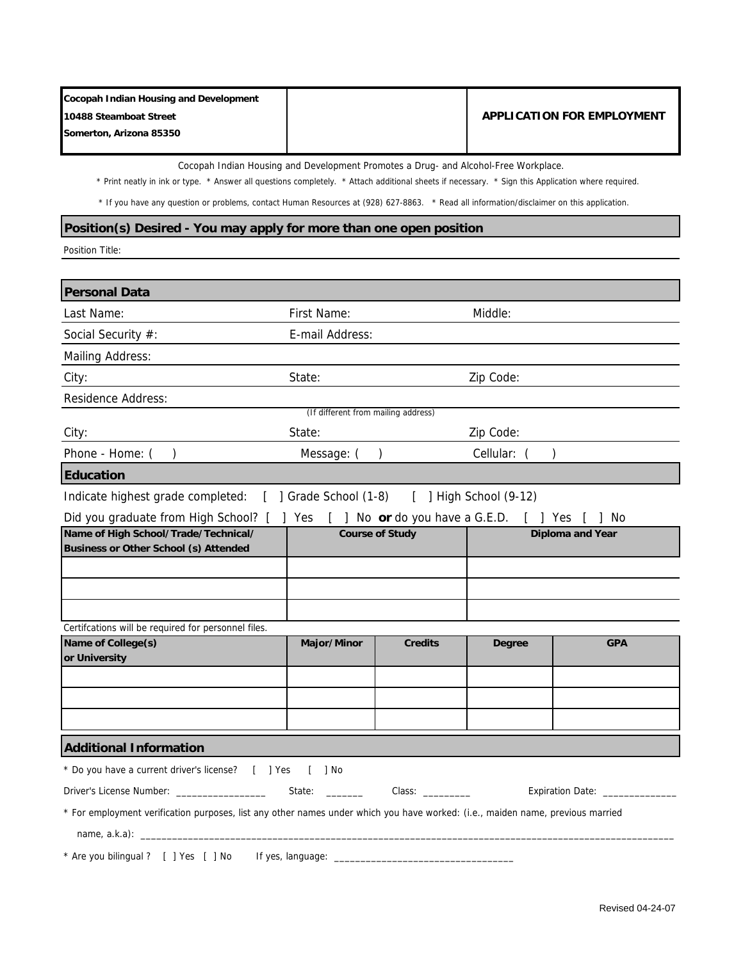| Cocopah Indian Housing and Development |                                   |
|----------------------------------------|-----------------------------------|
| 10488 Steamboat Street                 | <b>APPLICATION FOR EMPLOYMENT</b> |
| Somerton, Arizona 85350                |                                   |
|                                        |                                   |

Cocopah Indian Housing and Development Promotes a Drug- and Alcohol-Free Workplace.

\* Print neatly in ink or type. \* Answer all questions completely. \* Attach additional sheets if necessary. \* Sign this Application where required.

\* If you have any question or problems, contact Human Resources at (928) 627-8863. \* Read all information/disclaimer on this application.

#### **Position(s) Desired - You may apply for more than one open position**

Position Title:

| <b>Personal Data</b>                                                                                                           |                                     |                |                         |            |
|--------------------------------------------------------------------------------------------------------------------------------|-------------------------------------|----------------|-------------------------|------------|
| Last Name:                                                                                                                     | First Name:                         |                | Middle:                 |            |
| Social Security #:                                                                                                             | E-mail Address:                     |                |                         |            |
| Mailing Address:                                                                                                               |                                     |                |                         |            |
| City:                                                                                                                          | State:                              |                | Zip Code:               |            |
| Residence Address:                                                                                                             |                                     |                |                         |            |
|                                                                                                                                | (If different from mailing address) |                |                         |            |
| City:                                                                                                                          | State:                              |                | Zip Code:               |            |
| Phone - Home: $( )$                                                                                                            | Message: $( )$                      |                | Cellular: (             |            |
| <b>Education</b>                                                                                                               |                                     |                |                         |            |
| Indicate highest grade completed: [ ] Grade School (1-8) [ ] High School (9-12)                                                |                                     |                |                         |            |
| Did you graduate from High School? [ ] Yes [ ] No or do you have a G.E.D. [ ] Yes [ ] No                                       |                                     |                |                         |            |
| Name of High School/Trade/Technical/                                                                                           | <b>Course of Study</b>              |                | <b>Diploma and Year</b> |            |
| <b>Business or Other School (s) Attended</b>                                                                                   |                                     |                |                         |            |
|                                                                                                                                |                                     |                |                         |            |
|                                                                                                                                |                                     |                |                         |            |
|                                                                                                                                |                                     |                |                         |            |
| Certifcations will be required for personnel files.<br>Name of College(s)                                                      | Major/Minor                         | <b>Credits</b> | Degree                  | <b>GPA</b> |
| or University                                                                                                                  |                                     |                |                         |            |
|                                                                                                                                |                                     |                |                         |            |
|                                                                                                                                |                                     |                |                         |            |
|                                                                                                                                |                                     |                |                         |            |
|                                                                                                                                |                                     |                |                         |            |
| <b>Additional Information</b>                                                                                                  |                                     |                |                         |            |
| * Do you have a current driver's license? [ ] Yes [ ] No                                                                       |                                     |                |                         |            |
| Expiration Date: ____________                                                                                                  |                                     |                |                         |            |
| * For employment verification purposes, list any other names under which you have worked: (i.e., maiden name, previous married |                                     |                |                         |            |
|                                                                                                                                |                                     |                |                         |            |
| * Are you bilingual ? [ ] Yes [ ] No<br>If yes, language: __                                                                   |                                     |                |                         |            |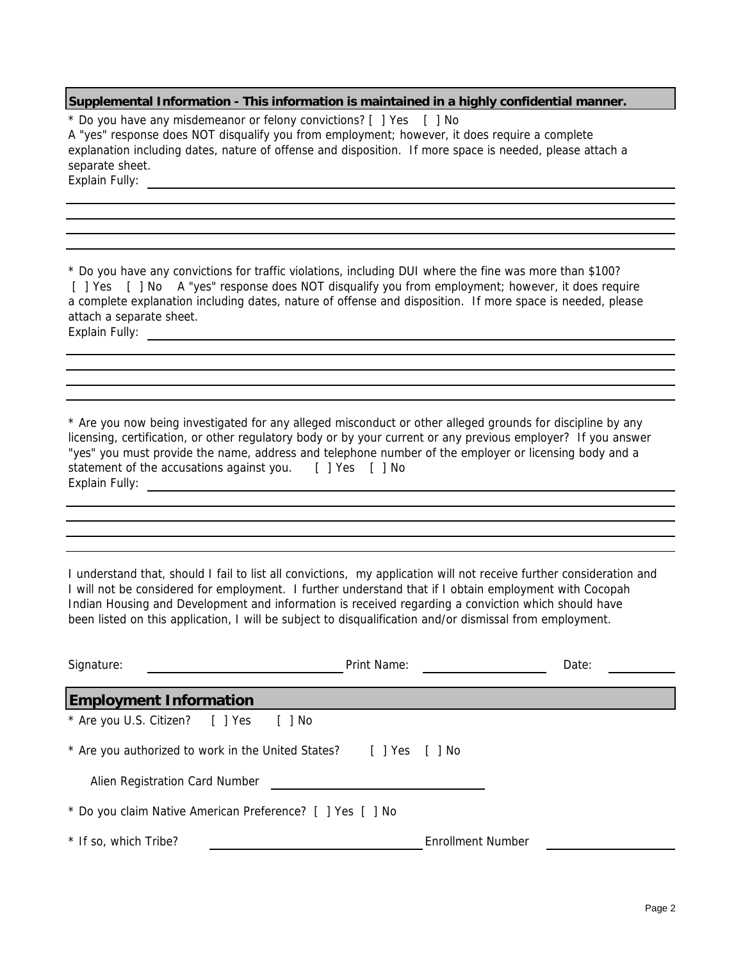### **Supplemental Information - This information is maintained in a highly confidential manner.**

Explain Fully: \* Do you have any misdemeanor or felony convictions? [ ] Yes [ ] No A "yes" response does NOT disqualify you from employment; however, it does require a complete explanation including dates, nature of offense and disposition. If more space is needed, please attach a separate sheet.

Explain Fully: \_\_\_\_\_\_\_\_\_\_ a complete explanation including dates, nature of offense and disposition. If more space is needed, please attach a separate sheet. \* Do you have any convictions for traffic violations, including DUI where the fine was more than \$100? [ ] Yes [ ] No A "yes" response does NOT disqualify you from employment; however, it does require

Explain Fully: \* Are you now being investigated for any alleged misconduct or other alleged grounds for discipline by any licensing, certification, or other regulatory body or by your current or any previous employer? If you answer "yes" you must provide the name, address and telephone number of the employer or licensing body and a statement of the accusations against you. [ ] Yes [ ] No

Indian Housing and Development and information is received regarding a conviction which should have been listed on this application, I will be subject to disqualification and/or dismissal from employment. I understand that, should I fail to list all convictions, my application will not receive further consideration and I will not be considered for employment. I further understand that if I obtain employment with Cocopah

| Signature:                                                        | Print Name:              | Date: |  |  |
|-------------------------------------------------------------------|--------------------------|-------|--|--|
| <b>Employment Information</b>                                     |                          |       |  |  |
| * Are you U.S. Citizen? [ ] Yes<br>[ ] No                         |                          |       |  |  |
| * Are you authorized to work in the United States? [ ] Yes [ ] No |                          |       |  |  |
| Alien Registration Card Number                                    |                          |       |  |  |
| * Do you claim Native American Preference? [ ] Yes [ ] No         |                          |       |  |  |
| * If so, which Tribe?                                             | <b>Enrollment Number</b> |       |  |  |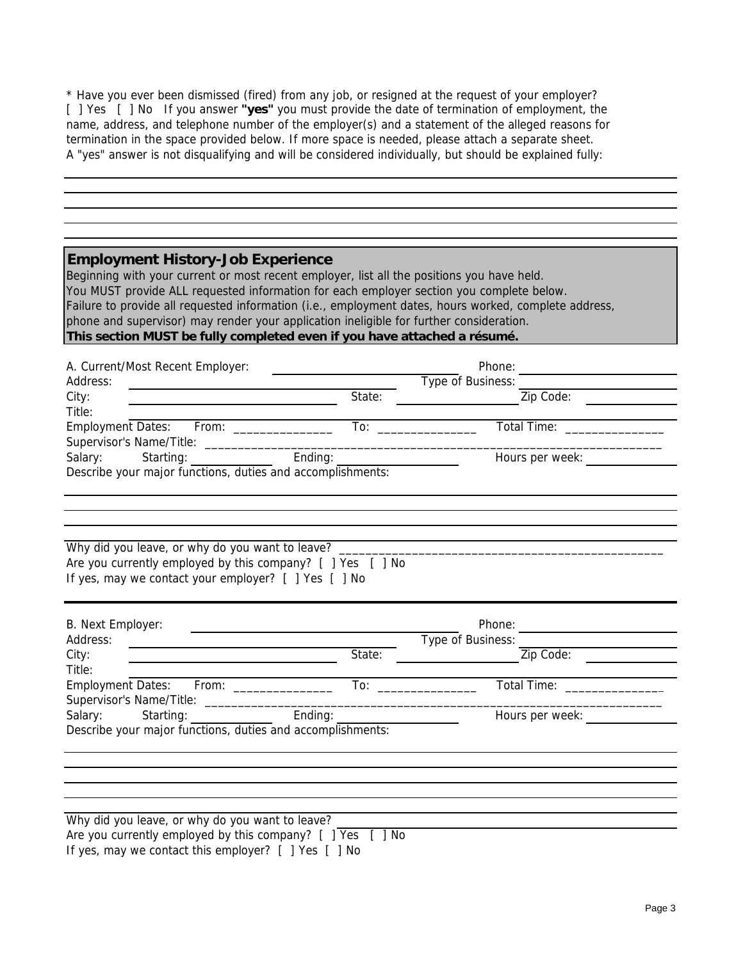\* Have you ever been dismissed (fired) from any job, or resigned at the request of your employer? A "yes" answer is not disqualifying and will be considered individually, but should be explained fully: [ ] Yes [ ] No If you answer **"yes"** you must provide the date of termination of employment, the name, address, and telephone number of the employer(s) and a statement of the alleged reasons for termination in the space provided below. If more space is needed, please attach a separate sheet.

| <b>Employment History-Job Experience</b><br>Beginning with your current or most recent employer, list all the positions you have held.<br>You MUST provide ALL requested information for each employer section you complete below.<br>Failure to provide all requested information (i.e., employment dates, hours worked, complete address,<br>phone and supervisor) may render your application ineligible for further consideration. |                                                             |                                |  |
|----------------------------------------------------------------------------------------------------------------------------------------------------------------------------------------------------------------------------------------------------------------------------------------------------------------------------------------------------------------------------------------------------------------------------------------|-------------------------------------------------------------|--------------------------------|--|
| This section MUST be fully completed even if you have attached a résumé.                                                                                                                                                                                                                                                                                                                                                               |                                                             |                                |  |
| A. Current/Most Recent Employer:                                                                                                                                                                                                                                                                                                                                                                                                       |                                                             |                                |  |
| Address:<br><u> 1980 - Johann Barn, mars an t-Amerikaansk politiker (</u>                                                                                                                                                                                                                                                                                                                                                              | <u> 1989 - Johann Barn, mars eta biztanleria (h. 1989).</u> | Phone:<br>Type of Business:    |  |
| City:                                                                                                                                                                                                                                                                                                                                                                                                                                  | State:                                                      | Zip Code:                      |  |
| Title:                                                                                                                                                                                                                                                                                                                                                                                                                                 |                                                             |                                |  |
|                                                                                                                                                                                                                                                                                                                                                                                                                                        |                                                             | Total Time: ________________   |  |
| Salary:                                                                                                                                                                                                                                                                                                                                                                                                                                | Starting: Ending: Ending:                                   | Hours per week: _________      |  |
| Describe your major functions, duties and accomplishments:                                                                                                                                                                                                                                                                                                                                                                             |                                                             |                                |  |
|                                                                                                                                                                                                                                                                                                                                                                                                                                        |                                                             |                                |  |
|                                                                                                                                                                                                                                                                                                                                                                                                                                        |                                                             |                                |  |
|                                                                                                                                                                                                                                                                                                                                                                                                                                        |                                                             | Phone:                         |  |
| <u> 1980 - Andrea Andrew Maria (b. 1980)</u><br><u> 1989 - Johann Barnett, fransk politiker (</u>                                                                                                                                                                                                                                                                                                                                      |                                                             | Type of Business:<br>Zip Code: |  |
|                                                                                                                                                                                                                                                                                                                                                                                                                                        |                                                             |                                |  |
| If yes, may we contact your employer? [ ] Yes [ ] No                                                                                                                                                                                                                                                                                                                                                                                   |                                                             | Total Time: _______________    |  |
|                                                                                                                                                                                                                                                                                                                                                                                                                                        |                                                             |                                |  |
| Starting:                                                                                                                                                                                                                                                                                                                                                                                                                              | Ending:                                                     | Hours per week:                |  |
|                                                                                                                                                                                                                                                                                                                                                                                                                                        |                                                             |                                |  |
|                                                                                                                                                                                                                                                                                                                                                                                                                                        |                                                             |                                |  |
|                                                                                                                                                                                                                                                                                                                                                                                                                                        |                                                             |                                |  |
|                                                                                                                                                                                                                                                                                                                                                                                                                                        |                                                             |                                |  |
| Why did you leave, or why do you want to leave?<br>Are you currently employed by this company? [ ] Yes [ ] No<br>B. Next Employer:<br>Address:<br>City:<br>Title:<br>Employment Dates: From: _______________<br>Salary:<br>Describe your major functions, duties and accomplishments:<br>Why did you leave, or why do you want to leave?<br>Are you currently employed by this company? [ ] Yes                                        | [ ] No                                                      |                                |  |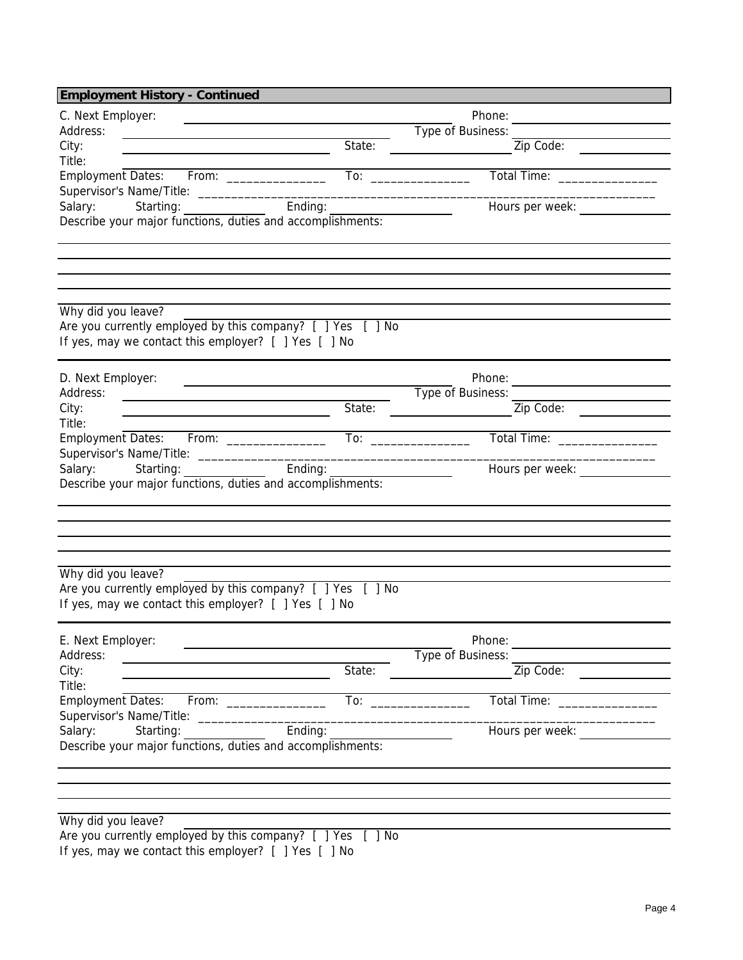| <b>Employment History - Continued</b>                                                                                                                                                                                                            |                                                                         |                              |
|--------------------------------------------------------------------------------------------------------------------------------------------------------------------------------------------------------------------------------------------------|-------------------------------------------------------------------------|------------------------------|
| C. Next Employer:                                                                                                                                                                                                                                |                                                                         | Phone:                       |
| Address:<br><u> 1980 - Jan Stern Stern Stern Stern Stern Stern Stern Stern Stern Stern Stern Stern Stern Stern Stern Stern Stern Stern Stern Stern Stern Stern Stern Stern Stern Stern Stern Stern Stern Stern Stern Stern Stern Stern Stern</u> |                                                                         | Type of Business:            |
| City:                                                                                                                                                                                                                                            | State:                                                                  | Zip Code:                    |
| Title:                                                                                                                                                                                                                                           |                                                                         |                              |
| Employment Dates: From: _______________                                                                                                                                                                                                          |                                                                         | Total Time: ________________ |
|                                                                                                                                                                                                                                                  |                                                                         |                              |
| Starting: Ending: Ending:<br>Salary:                                                                                                                                                                                                             |                                                                         | Hours per week:              |
| Describe your major functions, duties and accomplishments:                                                                                                                                                                                       |                                                                         |                              |
|                                                                                                                                                                                                                                                  |                                                                         |                              |
|                                                                                                                                                                                                                                                  |                                                                         |                              |
|                                                                                                                                                                                                                                                  |                                                                         |                              |
|                                                                                                                                                                                                                                                  |                                                                         |                              |
|                                                                                                                                                                                                                                                  |                                                                         |                              |
| Why did you leave?                                                                                                                                                                                                                               |                                                                         |                              |
| Are you currently employed by this company? [ ] Yes [ ] No                                                                                                                                                                                       |                                                                         |                              |
| If yes, may we contact this employer? [ ] Yes [ ] No                                                                                                                                                                                             |                                                                         |                              |
|                                                                                                                                                                                                                                                  |                                                                         |                              |
| D. Next Employer:                                                                                                                                                                                                                                |                                                                         |                              |
| Address:                                                                                                                                                                                                                                         |                                                                         | Type of Business:            |
| City:<br><u> 1989 - Johann Stoff, Amerikaansk politiker (</u>                                                                                                                                                                                    | State:                                                                  | Zip Code:                    |
| Title:                                                                                                                                                                                                                                           |                                                                         |                              |
|                                                                                                                                                                                                                                                  |                                                                         | Total Time: _______________  |
|                                                                                                                                                                                                                                                  |                                                                         |                              |
| Starting: The Starting Starting<br>Salary:                                                                                                                                                                                                       | Ending:                                                                 | Hours per week:              |
| Describe your major functions, duties and accomplishments:                                                                                                                                                                                       |                                                                         |                              |
|                                                                                                                                                                                                                                                  |                                                                         |                              |
|                                                                                                                                                                                                                                                  |                                                                         |                              |
|                                                                                                                                                                                                                                                  |                                                                         |                              |
|                                                                                                                                                                                                                                                  |                                                                         |                              |
| Why did you leave?                                                                                                                                                                                                                               |                                                                         |                              |
| Are you currently employed by this company? [ ] Yes [ ] No                                                                                                                                                                                       |                                                                         |                              |
| If yes, may we contact this employer? [ ] Yes [ ] No                                                                                                                                                                                             |                                                                         |                              |
|                                                                                                                                                                                                                                                  |                                                                         |                              |
|                                                                                                                                                                                                                                                  |                                                                         |                              |
| E. Next Employer:                                                                                                                                                                                                                                |                                                                         | Phone:                       |
| Address:                                                                                                                                                                                                                                         |                                                                         | Type of Business:            |
| City:                                                                                                                                                                                                                                            | State:                                                                  | Zip Code:                    |
| Title:                                                                                                                                                                                                                                           |                                                                         |                              |
| Employment Dates: From: _____________                                                                                                                                                                                                            | $\overline{a}$ To: $\overline{a}$ To: $\overline{a}$ To: $\overline{a}$ | Total Time: ________________ |
| Supervisor's Name/Title: ______________________                                                                                                                                                                                                  |                                                                         |                              |
| Ending:<br>Salary:<br>Starting:                                                                                                                                                                                                                  |                                                                         | Hours per week:              |
| Describe your major functions, duties and accomplishments:                                                                                                                                                                                       |                                                                         |                              |
|                                                                                                                                                                                                                                                  |                                                                         |                              |
|                                                                                                                                                                                                                                                  |                                                                         |                              |
|                                                                                                                                                                                                                                                  |                                                                         |                              |
| Why did you leave?                                                                                                                                                                                                                               |                                                                         |                              |
| Are you currently employed by this company? [ ] Yes [ ] No                                                                                                                                                                                       |                                                                         |                              |

If yes, may we contact this employer? [ ] Yes [ ] No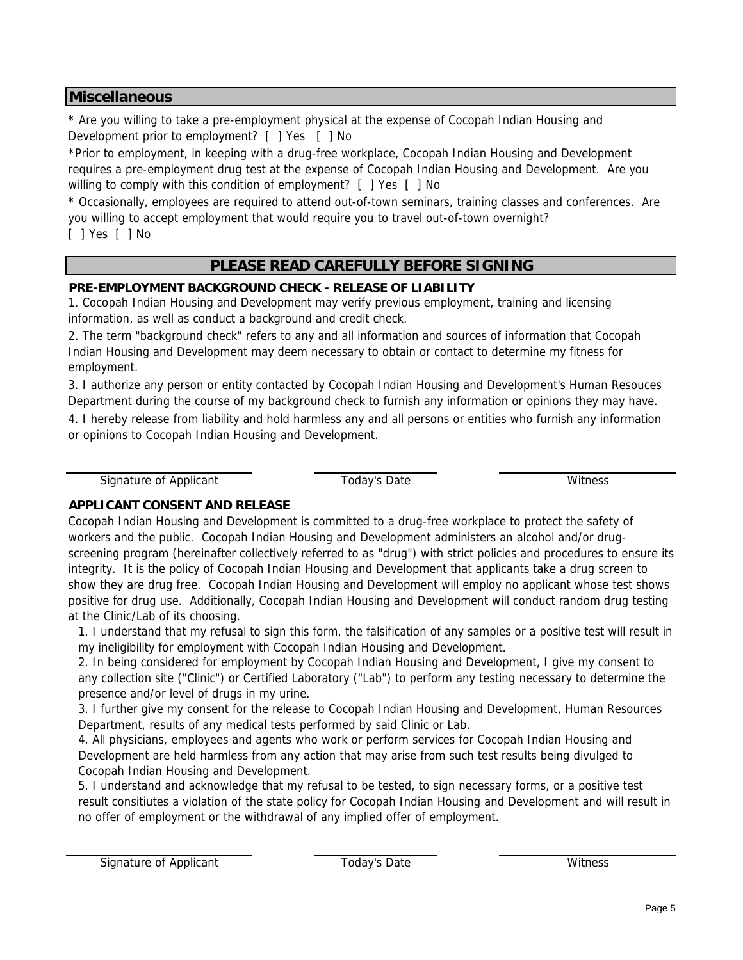### **Miscellaneous**

\* Are you willing to take a pre-employment physical at the expense of Cocopah Indian Housing and Development prior to employment? [ ] Yes [ ] No

\*Prior to employment, in keeping with a drug-free workplace, Cocopah Indian Housing and Development requires a pre-employment drug test at the expense of Cocopah Indian Housing and Development. Are you willing to comply with this condition of employment? [ ] Yes [ ] No

\* Occasionally, employees are required to attend out-of-town seminars, training classes and conferences. Are you willing to accept employment that would require you to travel out-of-town overnight? [ ] Yes [ ] No

# **PLEASE READ CAREFULLY BEFORE SIGNING**

## **PRE-EMPLOYMENT BACKGROUND CHECK - RELEASE OF LIABILITY**

1. Cocopah Indian Housing and Development may verify previous employment, training and licensing information, as well as conduct a background and credit check.

2. The term "background check" refers to any and all information and sources of information that Cocopah Indian Housing and Development may deem necessary to obtain or contact to determine my fitness for employment.

3. I authorize any person or entity contacted by Cocopah Indian Housing and Development's Human Resouces Department during the course of my background check to furnish any information or opinions they may have.

4. I hereby release from liability and hold harmless any and all persons or entities who furnish any information or opinions to Cocopah Indian Housing and Development.

Signature of Applicant Today's Date Today's Date Witness

### **APPLICANT CONSENT AND RELEASE**

Cocopah Indian Housing and Development is committed to a drug-free workplace to protect the safety of workers and the public. Cocopah Indian Housing and Development administers an alcohol and/or drugscreening program (hereinafter collectively referred to as "drug") with strict policies and procedures to ensure its integrity. It is the policy of Cocopah Indian Housing and Development that applicants take a drug screen to show they are drug free. Cocopah Indian Housing and Development will employ no applicant whose test shows positive for drug use. Additionally, Cocopah Indian Housing and Development will conduct random drug testing at the Clinic/Lab of its choosing.

1. I understand that my refusal to sign this form, the falsification of any samples or a positive test will result in my ineligibility for employment with Cocopah Indian Housing and Development.

2. In being considered for employment by Cocopah Indian Housing and Development, I give my consent to any collection site ("Clinic") or Certified Laboratory ("Lab") to perform any testing necessary to determine the presence and/or level of drugs in my urine.

3. I further give my consent for the release to Cocopah Indian Housing and Development, Human Resources Department, results of any medical tests performed by said Clinic or Lab.

4. All physicians, employees and agents who work or perform services for Cocopah Indian Housing and Development are held harmless from any action that may arise from such test results being divulged to Cocopah Indian Housing and Development.

5. I understand and acknowledge that my refusal to be tested, to sign necessary forms, or a positive test result consitiutes a violation of the state policy for Cocopah Indian Housing and Development and will result in no offer of employment or the withdrawal of any implied offer of employment.